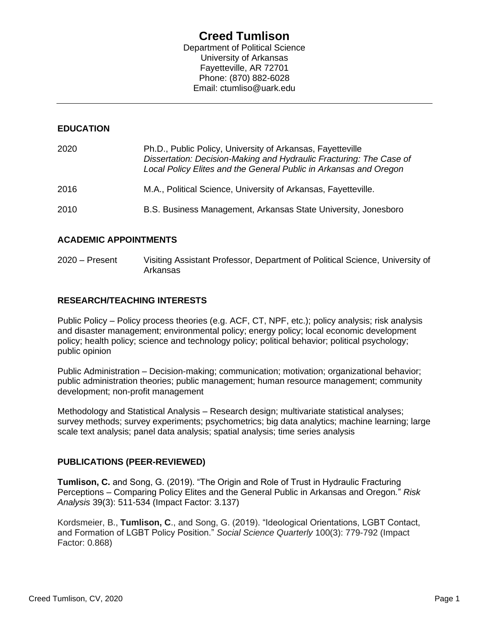# **Creed Tumlison**

Department of Political Science University of Arkansas Fayetteville, AR 72701 Phone: (870) 882-6028 Email: ctumliso@uark.edu

# **EDUCATION**

| 2020 | Ph.D., Public Policy, University of Arkansas, Fayetteville<br>Dissertation: Decision-Making and Hydraulic Fracturing: The Case of<br>Local Policy Elites and the General Public in Arkansas and Oregon |
|------|--------------------------------------------------------------------------------------------------------------------------------------------------------------------------------------------------------|
| 2016 | M.A., Political Science, University of Arkansas, Fayetteville.                                                                                                                                         |
| 2010 | B.S. Business Management, Arkansas State University, Jonesboro                                                                                                                                         |

# **ACADEMIC APPOINTMENTS**

2020 – Present Visiting Assistant Professor, Department of Political Science, University of Arkansas

# **RESEARCH/TEACHING INTERESTS**

Public Policy – Policy process theories (e.g. ACF, CT, NPF, etc.); policy analysis; risk analysis and disaster management; environmental policy; energy policy; local economic development policy; health policy; science and technology policy; political behavior; political psychology; public opinion

Public Administration – Decision-making; communication; motivation; organizational behavior; public administration theories; public management; human resource management; community development; non-profit management

Methodology and Statistical Analysis – Research design; multivariate statistical analyses; survey methods; survey experiments; psychometrics; big data analytics; machine learning; large scale text analysis; panel data analysis; spatial analysis; time series analysis

# **PUBLICATIONS (PEER-REVIEWED)**

**Tumlison, C.** and Song, G. (2019). "The Origin and Role of Trust in Hydraulic Fracturing Perceptions – Comparing Policy Elites and the General Public in Arkansas and Oregon*.*" *Risk Analysis* 39(3): 511-534 (Impact Factor: 3.137)

Kordsmeier, B., **Tumlison, C**., and Song, G. (2019). "Ideological Orientations, LGBT Contact, and Formation of LGBT Policy Position." *Social Science Quarterly* 100(3): 779-792 (Impact Factor: 0.868)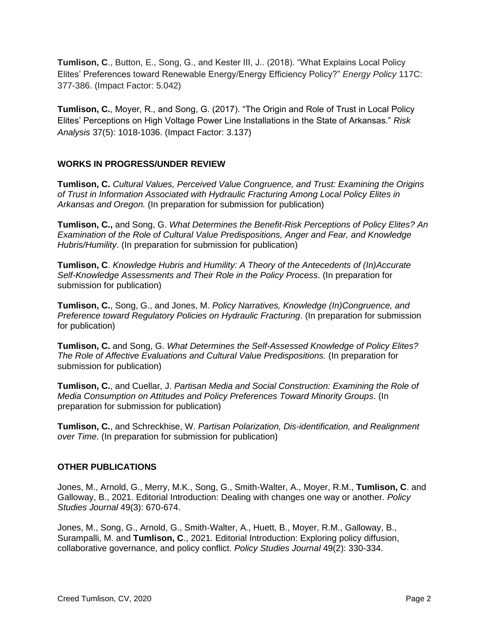**Tumlison, C**., Button, E., Song, G., and Kester III, J.. (2018). "What Explains Local Policy Elites' Preferences toward Renewable Energy/Energy Efficiency Policy?" *Energy Policy* 117C: 377-386. (Impact Factor: 5.042)

**Tumlison, C.**, Moyer, R., and Song, G. (2017). "The Origin and Role of Trust in Local Policy Elites' Perceptions on High Voltage Power Line Installations in the State of Arkansas." *Risk Analysis* 37(5): 1018-1036. (Impact Factor: 3.137)

# **WORKS IN PROGRESS/UNDER REVIEW**

**Tumlison, C.** *Cultural Values, Perceived Value Congruence, and Trust: Examining the Origins of Trust in Information Associated with Hydraulic Fracturing Among Local Policy Elites in Arkansas and Oregon.* (In preparation for submission for publication)

**Tumlison, C.,** and Song, G. *What Determines the Benefit-Risk Perceptions of Policy Elites? An Examination of the Role of Cultural Value Predispositions, Anger and Fear, and Knowledge Hubris/Humility*. (In preparation for submission for publication)

**Tumlison, C**. *Knowledge Hubris and Humility: A Theory of the Antecedents of (In)Accurate Self-Knowledge Assessments and Their Role in the Policy Process*. (In preparation for submission for publication)

**Tumlison, C.**, Song, G., and Jones, M. *Policy Narratives, Knowledge (In)Congruence, and Preference toward Regulatory Policies on Hydraulic Fracturing*. (In preparation for submission for publication)

**Tumlison, C.** and Song, G. *What Determines the Self-Assessed Knowledge of Policy Elites? The Role of Affective Evaluations and Cultural Value Predispositions.* (In preparation for submission for publication)

**Tumlison, C.**, and Cuellar, J. *Partisan Media and Social Construction: Examining the Role of Media Consumption on Attitudes and Policy Preferences Toward Minority Groups*. (In preparation for submission for publication)

**Tumlison, C.**, and Schreckhise, W. *Partisan Polarization, Dis-identification, and Realignment over Time*. (In preparation for submission for publication)

# **OTHER PUBLICATIONS**

Jones, M., Arnold, G., Merry, M.K., Song, G., Smith‐Walter, A., Moyer, R.M., **Tumlison, C**. and Galloway, B., 2021. Editorial Introduction: Dealing with changes one way or another. *Policy Studies Journal* 49(3): 670-674.

Jones, M., Song, G., Arnold, G., Smith‐Walter, A., Huett, B., Moyer, R.M., Galloway, B., Surampalli, M. and **Tumlison, C**., 2021. Editorial Introduction: Exploring policy diffusion, collaborative governance, and policy conflict. *Policy Studies Journal* 49(2): 330-334.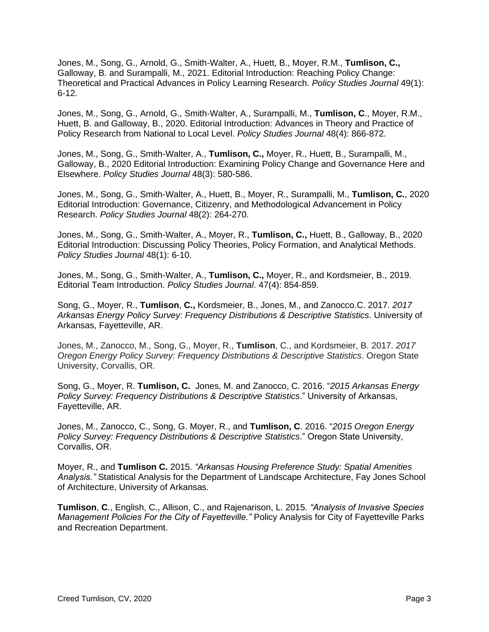Jones, M., Song, G., Arnold, G., Smith‐Walter, A., Huett, B., Moyer, R.M., **Tumlison, C.,** Galloway, B. and Surampalli, M., 2021. Editorial Introduction: Reaching Policy Change: Theoretical and Practical Advances in Policy Learning Research. *Policy Studies Journal* 49(1): 6-12.

Jones, M., Song, G., Arnold, G., Smith‐Walter, A., Surampalli, M., **Tumlison, C**., Moyer, R.M., Huett, B. and Galloway, B., 2020. Editorial Introduction: Advances in Theory and Practice of Policy Research from National to Local Level. *Policy Studies Journal* 48(4): 866-872.

Jones, M., Song, G., Smith-Walter, A., **Tumlison, C.,** Moyer, R., Huett, B., Surampalli, M., Galloway, B., 2020 Editorial Introduction: Examining Policy Change and Governance Here and Elsewhere. *Policy Studies Journal* 48(3): 580-586.

Jones, M., Song, G., Smith-Walter, A., Huett, B., Moyer, R., Surampalli, M., **Tumlison, C.**, 2020 Editorial Introduction: Governance, Citizenry, and Methodological Advancement in Policy Research. *Policy Studies Journal* 48(2): 264-270.

Jones, M., Song, G., Smith-Walter, A., Moyer, R., **Tumlison, C.,** Huett, B., Galloway, B., 2020 Editorial Introduction: Discussing Policy Theories, Policy Formation, and Analytical Methods. *Policy Studies Journal* 48(1): 6-10.

Jones, M., Song, G., Smith-Walter, A., **Tumlison, C.,** Moyer, R., and Kordsmeier, B., 2019. Editorial Team Introduction. *Policy Studies Journal*. 47(4): 854-859.

Song, G., Moyer, R., **Tumlison**, **C.,** Kordsmeier, B., Jones, M., and Zanocco.C. 2017. *2017 Arkansas Energy Policy Survey: Frequency Distributions & Descriptive Statistics*. University of Arkansas, Fayetteville, AR.

Jones, M., Zanocco, M., Song, G., Moyer, R., **Tumlison**, C., and Kordsmeier, B. 2017. *2017 Oregon Energy Policy Survey: Frequency Distributions & Descriptive Statistics*. Oregon State University, Corvallis, OR.

Song, G., Moyer, R. **Tumlison, C.** Jones, M. and Zanocco, C. 2016. "*2015 Arkansas Energy Policy Survey: Frequency Distributions & Descriptive Statistics*." University of Arkansas, Fayetteville, AR.

Jones, M., Zanocco, C., Song, G. Moyer, R., and **Tumlison, C**. 2016. "*2015 Oregon Energy Policy Survey: Frequency Distributions & Descriptive Statistics*." Oregon State University, Corvallis, OR.

Moyer, R., and **Tumlison C.** 2015. *"Arkansas Housing Preference Study: Spatial Amenities Analysis."* Statistical Analysis for the Department of Landscape Architecture, Fay Jones School of Architecture, University of Arkansas.

**Tumlison**, **C**., English, C., Allison, C., and Rajenarison, L. 2015. *"Analysis of Invasive Species Management Policies For the City of Fayetteville."* Policy Analysis for City of Fayetteville Parks and Recreation Department.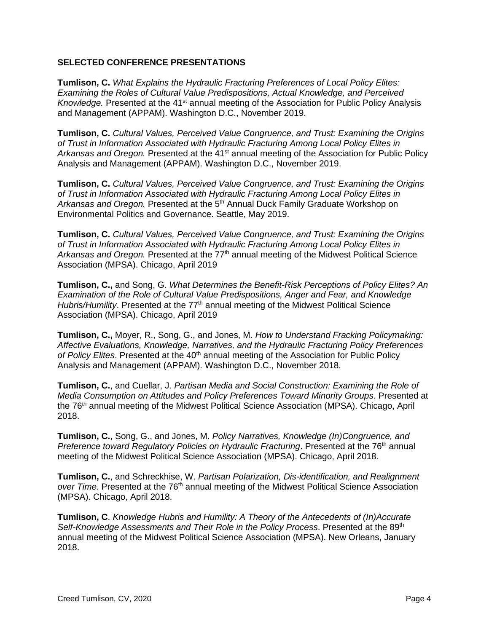#### **SELECTED CONFERENCE PRESENTATIONS**

**Tumlison, C.** *What Explains the Hydraulic Fracturing Preferences of Local Policy Elites: Examining the Roles of Cultural Value Predispositions, Actual Knowledge, and Perceived Knowledge.* Presented at the 41<sup>st</sup> annual meeting of the Association for Public Policy Analysis and Management (APPAM). Washington D.C., November 2019.

**Tumlison, C.** *Cultural Values, Perceived Value Congruence, and Trust: Examining the Origins of Trust in Information Associated with Hydraulic Fracturing Among Local Policy Elites in*  Arkansas and Oregon. Presented at the 41<sup>st</sup> annual meeting of the Association for Public Policy Analysis and Management (APPAM). Washington D.C., November 2019.

**Tumlison, C.** *Cultural Values, Perceived Value Congruence, and Trust: Examining the Origins of Trust in Information Associated with Hydraulic Fracturing Among Local Policy Elites in Arkansas and Oregon.* Presented at the 5th Annual Duck Family Graduate Workshop on Environmental Politics and Governance. Seattle, May 2019.

**Tumlison, C.** *Cultural Values, Perceived Value Congruence, and Trust: Examining the Origins of Trust in Information Associated with Hydraulic Fracturing Among Local Policy Elites in*  Arkansas and Oregon. Presented at the 77<sup>th</sup> annual meeting of the Midwest Political Science Association (MPSA). Chicago, April 2019

**Tumlison, C.,** and Song, G. *What Determines the Benefit-Risk Perceptions of Policy Elites? An Examination of the Role of Cultural Value Predispositions, Anger and Fear, and Knowledge Hubris/Humility*. Presented at the 77<sup>th</sup> annual meeting of the Midwest Political Science Association (MPSA). Chicago, April 2019

**Tumlison, C.,** Moyer, R., Song, G., and Jones, M. *How to Understand Fracking Policymaking: Affective Evaluations, Knowledge, Narratives, and the Hydraulic Fracturing Policy Preferences*  of Policy Elites. Presented at the 40<sup>th</sup> annual meeting of the Association for Public Policy Analysis and Management (APPAM). Washington D.C., November 2018.

**Tumlison, C.**, and Cuellar, J. *Partisan Media and Social Construction: Examining the Role of Media Consumption on Attitudes and Policy Preferences Toward Minority Groups*. Presented at the 76<sup>th</sup> annual meeting of the Midwest Political Science Association (MPSA). Chicago, April 2018.

**Tumlison, C.**, Song, G., and Jones, M. *Policy Narratives, Knowledge (In)Congruence, and Preference toward Regulatory Policies on Hydraulic Fracturing. Presented at the 76<sup>th</sup> annual* meeting of the Midwest Political Science Association (MPSA). Chicago, April 2018.

**Tumlison, C.**, and Schreckhise, W. *Partisan Polarization, Dis-identification, and Realignment over Time*. Presented at the 76th annual meeting of the Midwest Political Science Association (MPSA). Chicago, April 2018.

**Tumlison, C**. *Knowledge Hubris and Humility: A Theory of the Antecedents of (In)Accurate Self-Knowledge Assessments and Their Role in the Policy Process. Presented at the 89<sup>th</sup>* annual meeting of the Midwest Political Science Association (MPSA). New Orleans, January 2018.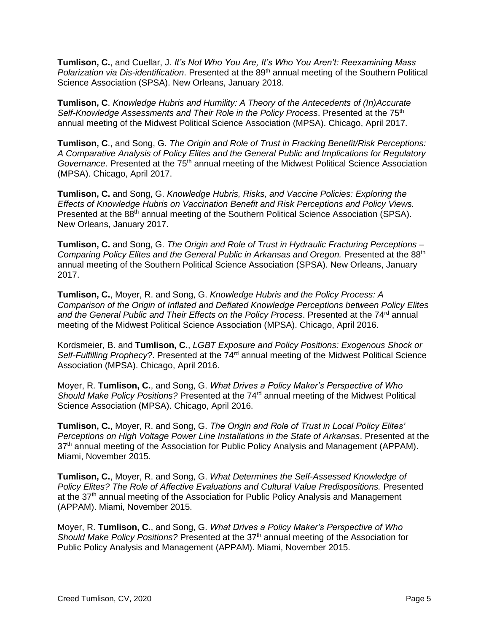**Tumlison, C.**, and Cuellar, J. *It's Not Who You Are, It's Who You Aren't: Reexamining Mass Polarization via Dis-identification*. Presented at the 89<sup>th</sup> annual meeting of the Southern Political Science Association (SPSA). New Orleans, January 2018.

**Tumlison, C**. *Knowledge Hubris and Humility: A Theory of the Antecedents of (In)Accurate*  Self-Knowledge Assessments and Their Role in the Policy Process. Presented at the 75<sup>th</sup> annual meeting of the Midwest Political Science Association (MPSA). Chicago, April 2017.

**Tumlison, C**., and Song, G. *The Origin and Role of Trust in Fracking Benefit/Risk Perceptions: A Comparative Analysis of Policy Elites and the General Public and Implications for Regulatory Governance*. Presented at the 75th annual meeting of the Midwest Political Science Association (MPSA). Chicago, April 2017.

**Tumlison, C.** and Song, G. *Knowledge Hubris, Risks, and Vaccine Policies: Exploring the Effects of Knowledge Hubris on Vaccination Benefit and Risk Perceptions and Policy Views.* Presented at the 88<sup>th</sup> annual meeting of the Southern Political Science Association (SPSA). New Orleans, January 2017.

**Tumlison, C.** and Song, G. *The Origin and Role of Trust in Hydraulic Fracturing Perceptions – Comparing Policy Elites and the General Public in Arkansas and Oregon.* Presented at the 88<sup>th</sup> annual meeting of the Southern Political Science Association (SPSA). New Orleans, January 2017.

**Tumlison, C.**, Moyer, R. and Song, G. *Knowledge Hubris and the Policy Process: A Comparison of the Origin of Inflated and Deflated Knowledge Perceptions between Policy Elites*  and the General Public and Their Effects on the Policy Process. Presented at the 74<sup>rd</sup> annual meeting of the Midwest Political Science Association (MPSA). Chicago, April 2016.

Kordsmeier, B. and **Tumlison, C.**, *LGBT Exposure and Policy Positions: Exogenous Shock or*  Self-Fulfilling Prophecy?. Presented at the 74<sup>rd</sup> annual meeting of the Midwest Political Science Association (MPSA). Chicago, April 2016.

Moyer, R. **Tumlison, C.**, and Song, G. *What Drives a Policy Maker's Perspective of Who Should Make Policy Positions?* Presented at the 74rd annual meeting of the Midwest Political Science Association (MPSA). Chicago, April 2016.

**Tumlison, C.**, Moyer, R. and Song, G. *The Origin and Role of Trust in Local Policy Elites' Perceptions on High Voltage Power Line Installations in the State of Arkansas*. Presented at the 37<sup>th</sup> annual meeting of the Association for Public Policy Analysis and Management (APPAM). Miami, November 2015.

**Tumlison, C.**, Moyer, R. and Song, G. *What Determines the Self-Assessed Knowledge of Policy Elites? The Role of Affective Evaluations and Cultural Value Predispositions.* Presented at the 37<sup>th</sup> annual meeting of the Association for Public Policy Analysis and Management (APPAM). Miami, November 2015.

Moyer, R. **Tumlison, C.**, and Song, G. *What Drives a Policy Maker's Perspective of Who Should Make Policy Positions?* Presented at the 37th annual meeting of the Association for Public Policy Analysis and Management (APPAM). Miami, November 2015.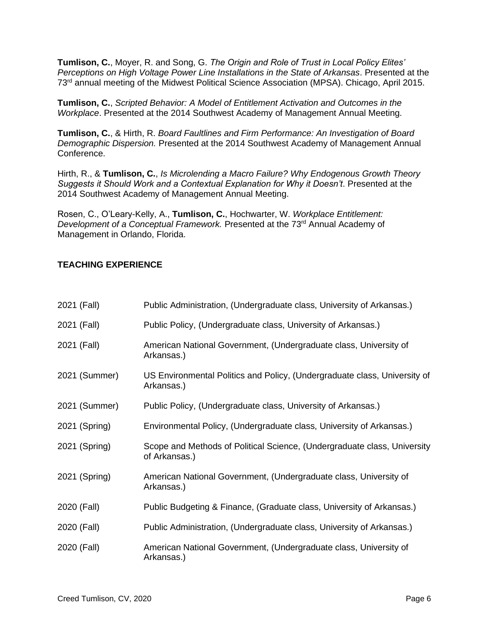**Tumlison, C.**, Moyer, R. and Song, G. *The Origin and Role of Trust in Local Policy Elites' Perceptions on High Voltage Power Line Installations in the State of Arkansas*. Presented at the 73rd annual meeting of the Midwest Political Science Association (MPSA). Chicago, April 2015.

**Tumlison, C.**, *Scripted Behavior: A Model of Entitlement Activation and Outcomes in the Workplace*. Presented at the 2014 Southwest Academy of Management Annual Meeting.

**Tumlison, C.**, & Hirth, R. *Board Faultlines and Firm Performance: An Investigation of Board Demographic Dispersion.* Presented at the 2014 Southwest Academy of Management Annual Conference.

Hirth, R., & **Tumlison, C.**, *Is Microlending a Macro Failure? Why Endogenous Growth Theory Suggests it Should Work and a Contextual Explanation for Why it Doesn't*. Presented at the 2014 Southwest Academy of Management Annual Meeting.

Rosen, C., O'Leary-Kelly, A., **Tumlison, C.**, Hochwarter, W. *Workplace Entitlement: Development of a Conceptual Framework.* Presented at the 73<sup>rd</sup> Annual Academy of Management in Orlando, Florida.

# **TEACHING EXPERIENCE**

| 2021 (Fall)   | Public Administration, (Undergraduate class, University of Arkansas.)                     |
|---------------|-------------------------------------------------------------------------------------------|
| 2021 (Fall)   | Public Policy, (Undergraduate class, University of Arkansas.)                             |
| 2021 (Fall)   | American National Government, (Undergraduate class, University of<br>Arkansas.)           |
| 2021 (Summer) | US Environmental Politics and Policy, (Undergraduate class, University of<br>Arkansas.)   |
| 2021 (Summer) | Public Policy, (Undergraduate class, University of Arkansas.)                             |
| 2021 (Spring) | Environmental Policy, (Undergraduate class, University of Arkansas.)                      |
| 2021 (Spring) | Scope and Methods of Political Science, (Undergraduate class, University<br>of Arkansas.) |
| 2021 (Spring) | American National Government, (Undergraduate class, University of<br>Arkansas.)           |
| 2020 (Fall)   | Public Budgeting & Finance, (Graduate class, University of Arkansas.)                     |
| 2020 (Fall)   | Public Administration, (Undergraduate class, University of Arkansas.)                     |
| 2020 (Fall)   | American National Government, (Undergraduate class, University of<br>Arkansas.)           |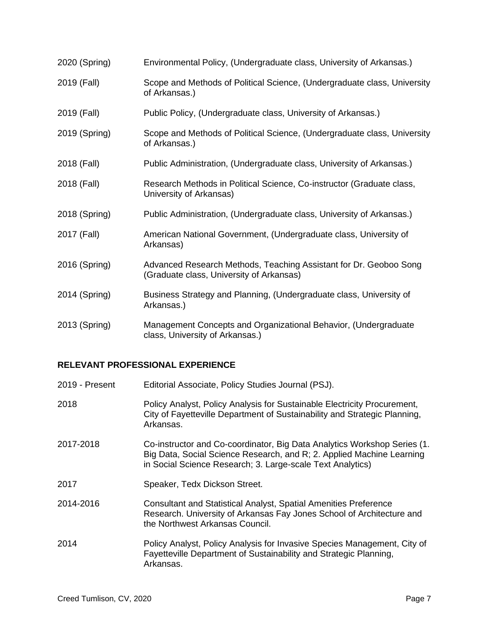| 2020 (Spring) | Environmental Policy, (Undergraduate class, University of Arkansas.)                                          |
|---------------|---------------------------------------------------------------------------------------------------------------|
| 2019 (Fall)   | Scope and Methods of Political Science, (Undergraduate class, University<br>of Arkansas.)                     |
| 2019 (Fall)   | Public Policy, (Undergraduate class, University of Arkansas.)                                                 |
| 2019 (Spring) | Scope and Methods of Political Science, (Undergraduate class, University<br>of Arkansas.)                     |
| 2018 (Fall)   | Public Administration, (Undergraduate class, University of Arkansas.)                                         |
| 2018 (Fall)   | Research Methods in Political Science, Co-instructor (Graduate class,<br>University of Arkansas)              |
| 2018 (Spring) | Public Administration, (Undergraduate class, University of Arkansas.)                                         |
| 2017 (Fall)   | American National Government, (Undergraduate class, University of<br>Arkansas)                                |
| 2016 (Spring) | Advanced Research Methods, Teaching Assistant for Dr. Geoboo Song<br>(Graduate class, University of Arkansas) |
| 2014 (Spring) | Business Strategy and Planning, (Undergraduate class, University of<br>Arkansas.)                             |
| 2013 (Spring) | Management Concepts and Organizational Behavior, (Undergraduate<br>class, University of Arkansas.)            |

# **RELEVANT PROFESSIONAL EXPERIENCE**

| 2019 - Present | Editorial Associate, Policy Studies Journal (PSJ).                                                                                                                                                              |
|----------------|-----------------------------------------------------------------------------------------------------------------------------------------------------------------------------------------------------------------|
| 2018           | Policy Analyst, Policy Analysis for Sustainable Electricity Procurement,<br>City of Fayetteville Department of Sustainability and Strategic Planning,<br>Arkansas.                                              |
| 2017-2018      | Co-instructor and Co-coordinator, Big Data Analytics Workshop Series (1.<br>Big Data, Social Science Research, and R; 2. Applied Machine Learning<br>in Social Science Research; 3. Large-scale Text Analytics) |
| 2017           | Speaker, Tedx Dickson Street.                                                                                                                                                                                   |
| 2014-2016      | <b>Consultant and Statistical Analyst, Spatial Amenities Preference</b><br>Research. University of Arkansas Fay Jones School of Architecture and<br>the Northwest Arkansas Council.                             |
| 2014           | Policy Analyst, Policy Analysis for Invasive Species Management, City of<br>Fayetteville Department of Sustainability and Strategic Planning,<br>Arkansas.                                                      |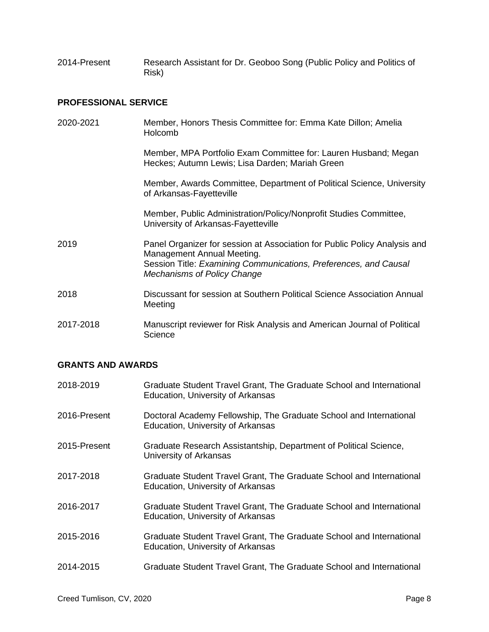2014-Present Research Assistant for Dr. Geoboo Song (Public Policy and Politics of Risk)

# **PROFESSIONAL SERVICE**

| 2020-2021 | Member, Honors Thesis Committee for: Emma Kate Dillon; Amelia<br>Holcomb                                                                                                                                          |
|-----------|-------------------------------------------------------------------------------------------------------------------------------------------------------------------------------------------------------------------|
|           | Member, MPA Portfolio Exam Committee for: Lauren Husband; Megan<br>Heckes; Autumn Lewis; Lisa Darden; Mariah Green                                                                                                |
|           | Member, Awards Committee, Department of Political Science, University<br>of Arkansas-Fayetteville                                                                                                                 |
|           | Member, Public Administration/Policy/Nonprofit Studies Committee,<br>University of Arkansas-Fayetteville                                                                                                          |
| 2019      | Panel Organizer for session at Association for Public Policy Analysis and<br>Management Annual Meeting.<br>Session Title: Examining Communications, Preferences, and Causal<br><b>Mechanisms of Policy Change</b> |
| 2018      | Discussant for session at Southern Political Science Association Annual<br>Meeting                                                                                                                                |
| 2017-2018 | Manuscript reviewer for Risk Analysis and American Journal of Political<br>Science                                                                                                                                |

#### **GRANTS AND AWARDS**

| 2018-2019    | Graduate Student Travel Grant, The Graduate School and International<br>Education, University of Arkansas |
|--------------|-----------------------------------------------------------------------------------------------------------|
| 2016-Present | Doctoral Academy Fellowship, The Graduate School and International<br>Education, University of Arkansas   |
| 2015-Present | Graduate Research Assistantship, Department of Political Science,<br>University of Arkansas               |
| 2017-2018    | Graduate Student Travel Grant, The Graduate School and International<br>Education, University of Arkansas |
| 2016-2017    | Graduate Student Travel Grant, The Graduate School and International<br>Education, University of Arkansas |
| 2015-2016    | Graduate Student Travel Grant, The Graduate School and International<br>Education, University of Arkansas |
| 2014-2015    | Graduate Student Travel Grant, The Graduate School and International                                      |